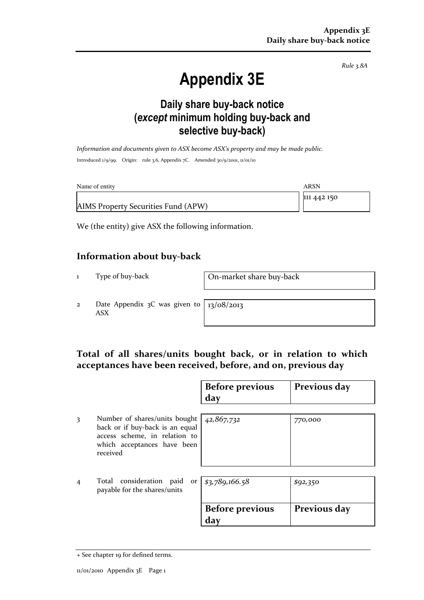Rule 3.8A

# Appendix 3E

### Daily share buy-back notice (except minimum holding buy-back and selective buy-back)

Information and documents given to ASX become ASX's property and may be made public. Introduced 1/9/99. Origin: rule 3.6, Appendix 7C. Amended 30/9/2001, 11/01/10

| Name of entity                      | ARSN        |
|-------------------------------------|-------------|
|                                     | 111 442 150 |
| AIMS Property Securities Fund (APW) |             |

We (the entity) give ASX the following information.

#### Information about buy-back

1 Type of buy-back On-market share buy-back

2 Date Appendix 3C was given to ASX

13/08/2013

#### Total of all shares/units bought back, or in relation to which acceptances have been received, before, and on, previous day

|                |                                                                                                                                              | <b>Before previous</b><br>day | Previous day |
|----------------|----------------------------------------------------------------------------------------------------------------------------------------------|-------------------------------|--------------|
| 3              | Number of shares/units bought<br>back or if buy-back is an equal<br>access scheme, in relation to<br>which acceptances have been<br>received | 42,867,732                    | 770,000      |
| $\overline{4}$ | Total consideration paid<br>payable for the shares/units                                                                                     | or $ $ \$3,789,166.58         | \$92,350     |
|                |                                                                                                                                              | <b>Before previous</b><br>day | Previous day |

<sup>+</sup> See chapter 19 for defined terms.